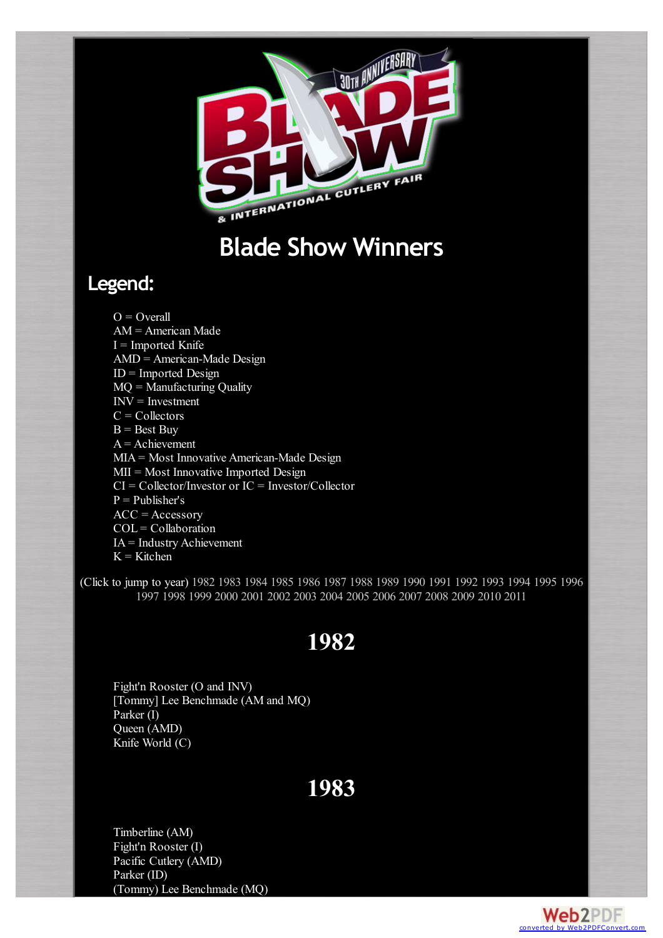<span id="page-0-2"></span>

# **Blade Show Winners**

#### **Legend:**

 $O =$  Overall AM = American Made  $I =$  Imported Knife AMD = American-Made Design ID = Imported Design MQ = Manufacturing Quality INV = Investment  $C =$  Collectors  $B = Best Buy$  $A =$ Achievement MIA = Most Innovative American-Made Design MII = Most Innovative Imported Design CI = Collector/Investor or IC = Investor/Collector  $P =$  Publisher's  $ACC = Accessory$  $COL = Collaboration$ IA = Industry Achievement  $K =$ Kitchen

<span id="page-0-0"></span>(Click to jump to year) [1982](#page-0-0) [1983](#page-0-1) [1984](#page-1-0) [1985](#page-1-1) [1986](#page-1-2) [1987](#page-1-3) [1988](#page-1-4) [1989](#page-2-0) [1990](#page-2-1) [1991](#page-2-2) [1992](#page-2-3) [1993](#page-3-0) [1994](#page-3-1) [1995](#page-3-2) [1996](#page-4-0) [1997](#page-4-1) [1998](#page-4-2) [1999](#page-4-3) [2000](#page-5-0) [2001](#page-5-1) [2002](#page-5-2) [2003](#page-6-0) [2004](#page-6-1) [2005](#page-6-2) [2006](#page-7-0) [2007](#page-7-1) [2008](#page-7-2) [2009](#page-8-0) [2010](#page-8-1) [2011](#page-8-2)

### **1982**

Fight'n Rooster (O and INV) [Tommy] Lee Benchmade (AM and MQ) Parker (I) Queen (AMD) Knife World (C)

#### **1983**

<span id="page-0-1"></span>Timberline (AM) Fight'n Rooster (I) Pacific Cutlery (AMD) Parker (ID) (Tommy) Lee Benchmade (MQ)

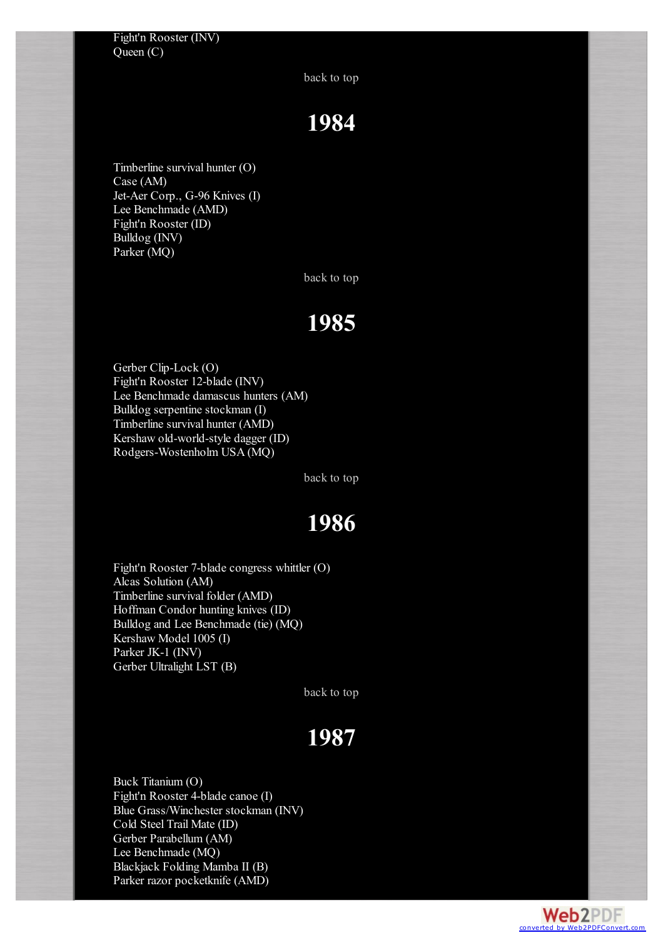[back](#page-0-2) to top

# **1984**

<span id="page-1-0"></span>Timberline survival hunter (O) Case (AM) Jet-Aer Corp., G-96 Knives (I) Lee Benchmade (AMD) Fight'n Rooster (ID) Bulldog (INV) Parker (MQ)

[back](#page-0-2) to top

#### **1985**

<span id="page-1-1"></span>Gerber Clip-Lock (O) Fight'n Rooster 12-blade (INV) Lee Benchmade damascus hunters (AM) Bulldog serpentine stockman (I) Timberline survival hunter (AMD) Kershaw old-world-style dagger (ID) Rodgers-Wostenholm USA (MQ)

[back](#page-0-2) to top

## **1986**

<span id="page-1-2"></span>Fight'n Rooster 7-blade congress whittler (O) Alcas Solution (AM) Timberline survival folder (AMD) Hoffman Condor hunting knives (ID) Bulldog and Lee Benchmade (tie) (MQ) Kershaw Model 1005 (I) Parker JK-1 (INV) Gerber Ultralight LST (B)

[back](#page-0-2) to top

# **1987**

<span id="page-1-4"></span><span id="page-1-3"></span>Buck Titanium (O) Fight'n Rooster 4-blade canoe (I) Blue Grass/Winchester stockman (INV) Cold Steel Trail Mate (ID) Gerber Parabellum (AM) Lee Benchmade (MQ) Blackjack Folding Mamba II (B) Parker razor pocketknife (AMD)

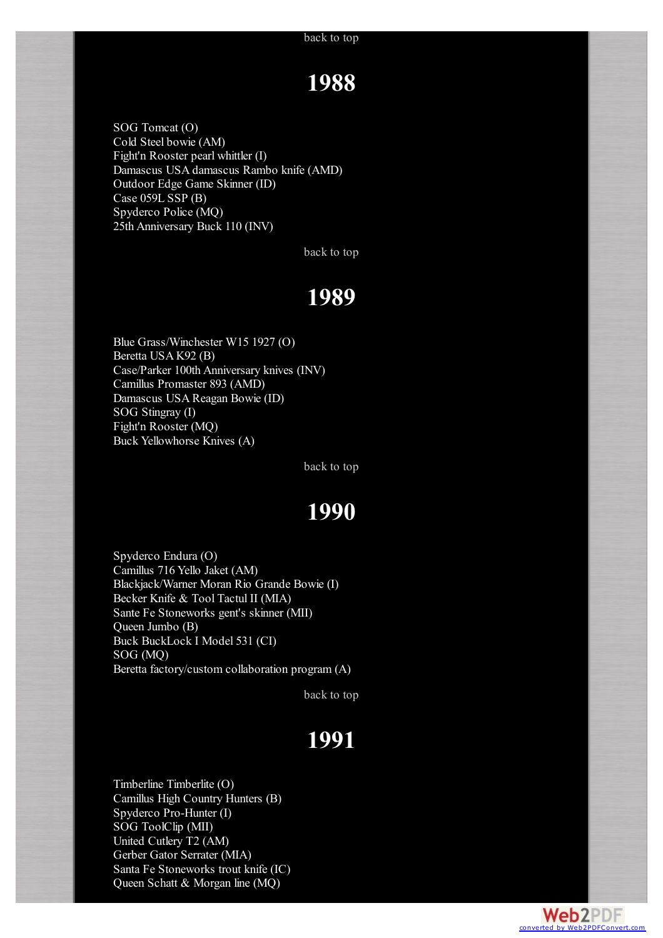### **1988**

SOG Tomcat (O) Cold Steel bowie (AM) Fight'n Rooster pearl whittler (I) Damascus USA damascus Rambo knife (AMD) Outdoor Edge Game Skinner (ID) Case 059L SSP (B) Spyderco Police (MQ) 25th Anniversary Buck 110 (INV)

[back](#page-0-2) to top

## **1989**

<span id="page-2-0"></span>Blue Grass/Winchester W15 1927 (O) Beretta USA K92 (B) Case/Parker 100th Anniversary knives (INV) Camillus Promaster 893 (AMD) Damascus USA Reagan Bowie (ID) SOG Stingray (I) Fight'n Rooster (MQ) Buck Yellowhorse Knives (A)

[back](#page-0-2) to top

### **1990**

<span id="page-2-1"></span>Spyderco Endura (O) Camillus 716 Yello Jaket (AM) Blackjack/Warner Moran Rio Grande Bowie (I) Becker Knife & Tool Tactul II (MIA) Sante Fe Stoneworks gent's skinner (MII) Queen Jumbo (B) Buck BuckLock I Model 531 (CI) SOG (MQ) Beretta factory/custom collaboration program (A)

[back](#page-0-2) to top

# **1991**

**Web2PDF** converted by [Web2PDFConvert.com](http://www.web2pdfconvert.com?ref=PDF)

<span id="page-2-3"></span><span id="page-2-2"></span>Timberline Timberlite (O) Camillus High Country Hunters (B) Spyderco Pro-Hunter (I) SOG ToolClip (MII) United Cutlery T2 (AM) Gerber Gator Serrater (MIA) Santa Fe Stoneworks trout knife (IC) Queen Schatt & Morgan line (MQ)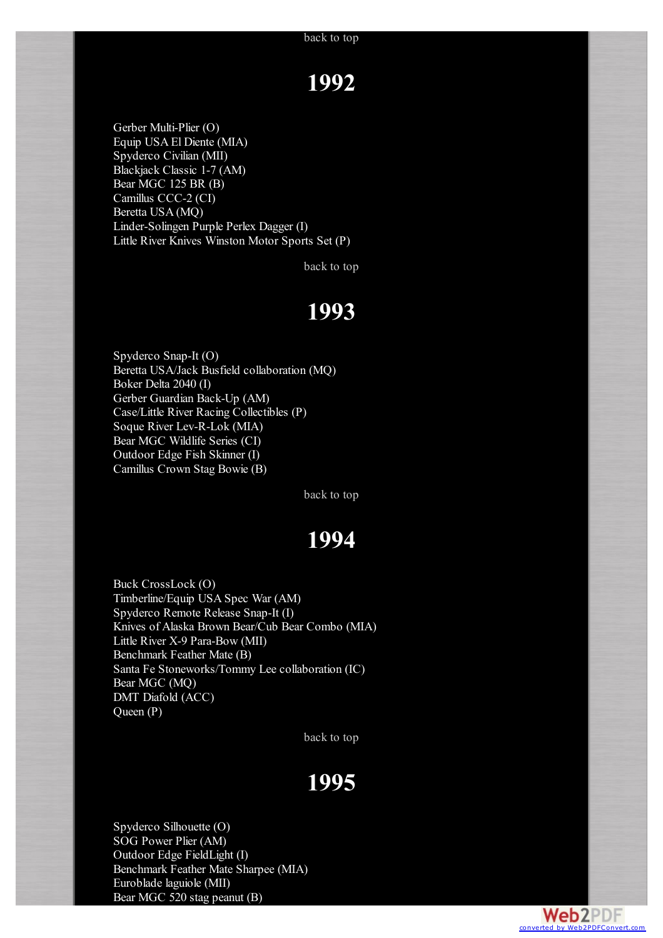## **1992**

Gerber Multi-Plier (O) Equip USA El Diente (MIA) Spyderco Civilian (MII) Blackjack Classic 1-7 (AM) Bear MGC 125 BR (B) Camillus CCC-2 (CI) Beretta USA (MQ) Linder-Solingen Purple Perlex Dagger (I) Little River Knives Winston Motor Sports Set (P)

[back](#page-0-2) to top

#### **1993**

<span id="page-3-0"></span>Spyderco Snap-It (O) Beretta USA/Jack Busfield collaboration (MQ) Boker Delta 2040 (I) Gerber Guardian Back-Up (AM) Case/Little River Racing Collectibles (P) Soque River Lev-R-Lok (MIA) Bear MGC Wildlife Series (CI) Outdoor Edge Fish Skinner (I) Camillus Crown Stag Bowie (B)

[back](#page-0-2) to top

#### **1994**

<span id="page-3-1"></span>Buck CrossLock (O) Timberline/Equip USA Spec War (AM) Spyderco Remote Release Snap-It (I) Knives of Alaska Brown Bear/Cub Bear Combo (MIA) Little River X-9 Para-Bow (MII) Benchmark Feather Mate (B) Santa Fe Stoneworks/Tommy Lee collaboration (IC) Bear MGC (MQ) DMT Diafold (ACC) Queen (P)

[back](#page-0-2) to top

#### **1995**

<span id="page-3-2"></span>Spyderco Silhouette (O) SOG Power Plier (AM) Outdoor Edge FieldLight (I) Benchmark Feather Mate Sharpee (MIA) Euroblade laguiole (MII) Bear MGC 520 stag peanut (B)

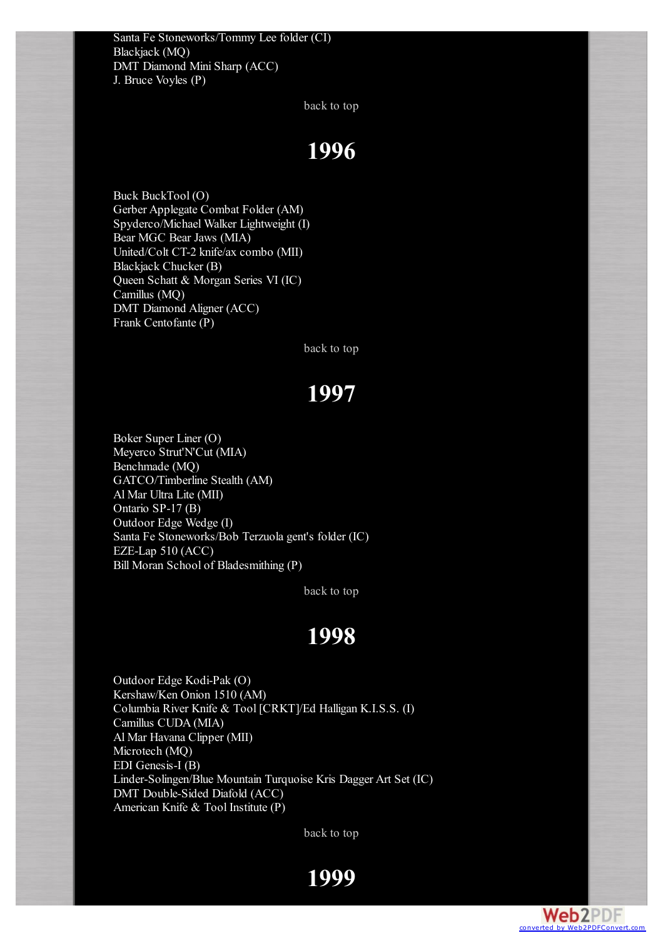<span id="page-4-0"></span>Santa Fe Stoneworks/Tommy Lee folder (CI) Blackjack (MQ) DMT Diamond Mini Sharp (ACC) J. Bruce Voyles (P)

[back](#page-0-2) to top

### **1996**

Buck BuckTool (O) Gerber Applegate Combat Folder (AM) Spyderco/Michael Walker Lightweight (I) Bear MGC Bear Jaws (MIA) United/Colt CT-2 knife/ax combo (MII) Blackjack Chucker (B) Queen Schatt & Morgan Series VI (IC) Camillus (MQ) DMT Diamond Aligner (ACC) Frank Centofante (P)

[back](#page-0-2) to top

## **1997**

<span id="page-4-1"></span>Boker Super Liner (O) Meyerco Strut'N'Cut (MIA) Benchmade (MQ) GATCO/Timberline Stealth (AM) Al Mar Ultra Lite (MII) Ontario SP-17 (B) Outdoor Edge Wedge (I) Santa Fe Stoneworks/Bob Terzuola gent's folder (IC) EZE-Lap 510 (ACC) Bill Moran School of Bladesmithing (P)

[back](#page-0-2) to top

#### **1998**

<span id="page-4-3"></span><span id="page-4-2"></span>Outdoor Edge Kodi-Pak (O) Kershaw/Ken Onion 1510 (AM) Columbia River Knife & Tool [CRKT]/Ed Halligan K.I.S.S. (I) Camillus CUDA (MIA) Al Mar Havana Clipper (MII) Microtech (MQ) EDI Genesis-I (B) Linder-Solingen/Blue Mountain Turquoise Kris Dagger Art Set (IC) DMT Double-Sided Diafold (ACC) American Knife & Tool Institute (P)

[back](#page-0-2) to top

**1999**

**Web2PDF** converted by [Web2PDFConvert.com](http://www.web2pdfconvert.com?ref=PDF)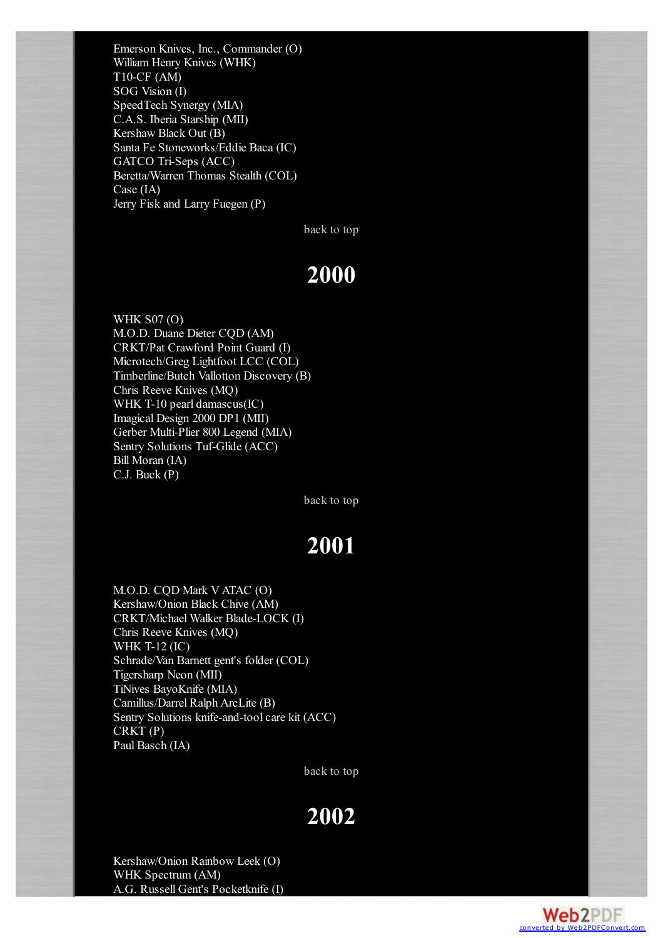Emerson Knives, Inc., Commander (O) William Henry Knives (WHK) T10-CF (AM) SOG Vision (I) SpeedTech Synergy (MIA) C.A.S. Iberia Starship (MII) Kershaw Black Out (B) Santa Fe Stoneworks/Eddie Baca (IC) GATCO Tri-Seps (ACC) Beretta/Warren Thomas Stealth (COL) Case (IA) Jerry Fisk and Larry Fuegen (P)

[back](#page-0-2) to top

### **2000**

<span id="page-5-0"></span>WHK S07 (O) M.O.D. Duane Dieter CQD (AM) CRKT/Pat Crawford Point Guard (I) Microtech/Greg Lightfoot LCC (COL) Timberline/Butch Vallotton Discovery (B) Chris Reeve Knives (MQ) WHK T-10 pearl damascus(IC) Imagical Design 2000 DP1 (MII) Gerber Multi-Plier 800 Legend (MIA) Sentry Solutions Tuf-Glide (ACC) Bill Moran (IA) C.J. Buck (P)

[back](#page-0-2) to top

## **2001**

<span id="page-5-1"></span>M.O.D. CQD Mark V ATAC (O) Kershaw/Onion Black Chive (AM) CRKT/Michael Walker Blade-LOCK (I) Chris Reeve Knives (MQ) WHK T-12 (IC) Schrade/Van Barnett gent's folder (COL) Tigersharp Neon (MII) TiNives BayoKnife (MIA) Camillus/Darrel Ralph ArcLite (B) Sentry Solutions knife-and-tool care kit (ACC) CRKT (P) Paul Basch (IA)

[back](#page-0-2) to top

#### **2002**

<span id="page-5-2"></span>Kershaw/Onion Rainbow Leek (O) WHK Spectrum (AM) A.G. Russell Gent's Pocketknife (I)

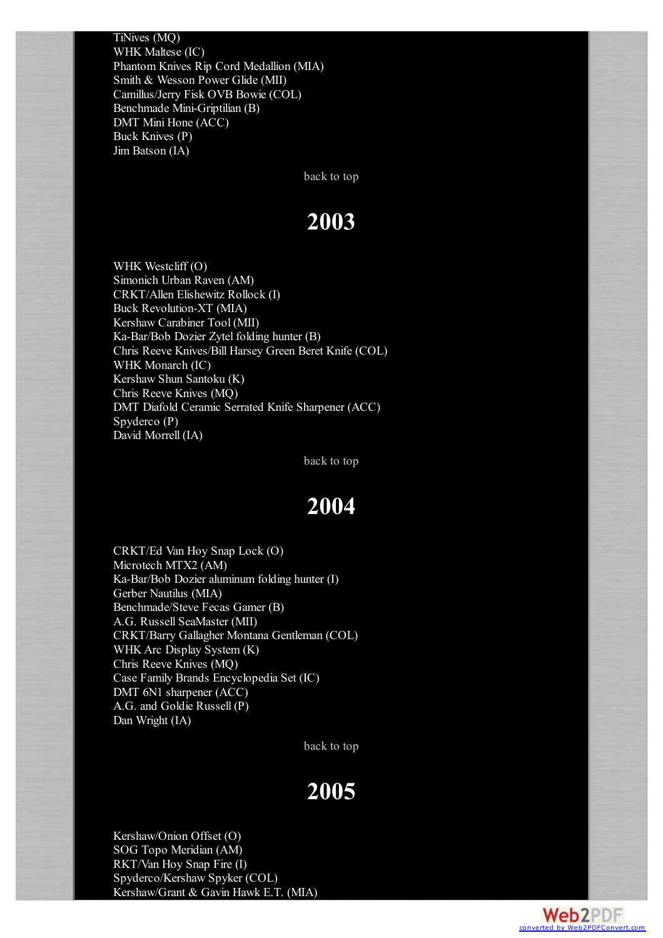TiNives (MQ) WHK Maltese (IC) Phantom Knives Rip Cord Medallion (MIA) Smith & Wesson Power Glide (MII) Camillus/Jerry Fisk OVB Bowie (COL) Benchmade Mini-Griptilian (B) DMT Mini Hone (ACC) Buck Knives (P) Jim Batson (IA)

[back](#page-0-2) to top

### **2003**

<span id="page-6-0"></span>WHK Westcliff (O) Simonich Urban Raven (AM) CRKT/Allen Elishewitz Rollock (I) Buck Revolution-XT (MIA) Kershaw Carabiner Tool (MII) Ka-Bar/Bob Dozier Zytel folding hunter (B) Chris Reeve Knives/Bill Harsey Green Beret Knife (COL) WHK Monarch (IC) Kershaw Shun Santoku (K) Chris Reeve Knives (MQ) DMT Diafold Ceramic Serrated Knife Sharpener (ACC) Spyderco (P) David Morrell (IA)

[back](#page-0-2) to top

#### **2004**

<span id="page-6-1"></span>CRKT/Ed Van Hoy Snap Lock (O) Microtech MTX2 (AM) Ka-Bar/Bob Dozier aluminum folding hunter (I) Gerber Nautilus (MIA) Benchmade/Steve Fecas Gamer (B) A.G. Russell SeaMaster (MII) CRKT/Barry Gallagher Montana Gentleman (COL) WHK Arc Display System (K) Chris Reeve Knives (MQ) Case Family Brands Encyclopedia Set (IC) DMT 6N1 sharpener (ACC) A.G. and Goldie Russell (P) Dan Wright (IA)

[back](#page-0-2) to top

#### **2005**

<span id="page-6-2"></span>Kershaw/Onion Offset (O) SOG Topo Meridian (AM) RKT/Van Hoy Snap Fire (I) Spyderco/Kershaw Spyker (COL) Kershaw/Grant & Gavin Hawk E.T. (MIA)

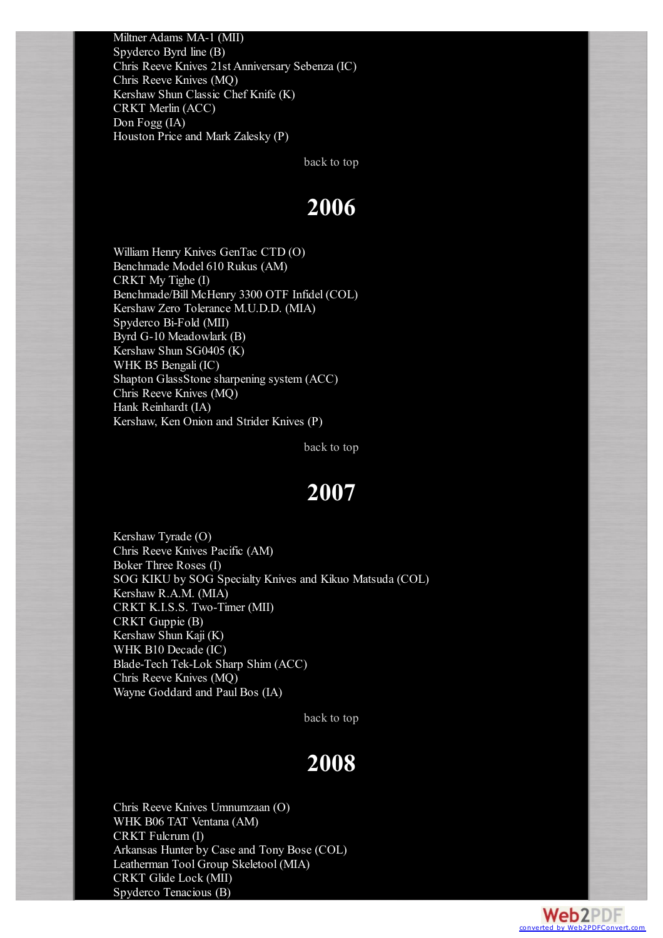Miltner Adams MA-1 (MII) Spyderco Byrd line (B) Chris Reeve Knives 21st Anniversary Sebenza (IC) Chris Reeve Knives (MQ) Kershaw Shun Classic Chef Knife (K) CRKT Merlin (ACC) Don Fogg (IA) Houston Price and Mark Zalesky (P)

[back](#page-0-2) to top

#### **2006**

<span id="page-7-0"></span>William Henry Knives GenTac CTD (O) Benchmade Model 610 Rukus (AM) CRKT My Tighe (I) Benchmade/Bill McHenry 3300 OTF Infidel (COL) Kershaw Zero Tolerance M.U.D.D. (MIA) Spyderco Bi-Fold (MII) Byrd G-10 Meadowlark (B) Kershaw Shun SG0405 (K) WHK B5 Bengali (IC) Shapton GlassStone sharpening system (ACC) Chris Reeve Knives (MQ) Hank Reinhardt (IA) Kershaw, Ken Onion and Strider Knives (P)

[back](#page-0-2) to top

#### **2007**

<span id="page-7-1"></span>Kershaw Tyrade (O) Chris Reeve Knives Pacific (AM) Boker Three Roses (I) SOG KIKU by SOG Specialty Knives and Kikuo Matsuda (COL) Kershaw R.A.M. (MIA) CRKT K.I.S.S. Two-Timer (MII) CRKT Guppie (B) Kershaw Shun Kaji (K) WHK B10 Decade (IC) Blade-Tech Tek-Lok Sharp Shim (ACC) Chris Reeve Knives (MQ) Wayne Goddard and Paul Bos (IA)

[back](#page-0-2) to top

### **2008**

<span id="page-7-2"></span>Chris Reeve Knives Umnumzaan (O) WHK B06 TAT Ventana (AM) CRKT Fulcrum (I) Arkansas Hunter by Case and Tony Bose (COL) Leatherman Tool Group Skeletool (MIA) CRKT Glide Lock (MII) Spyderco Tenacious (B)

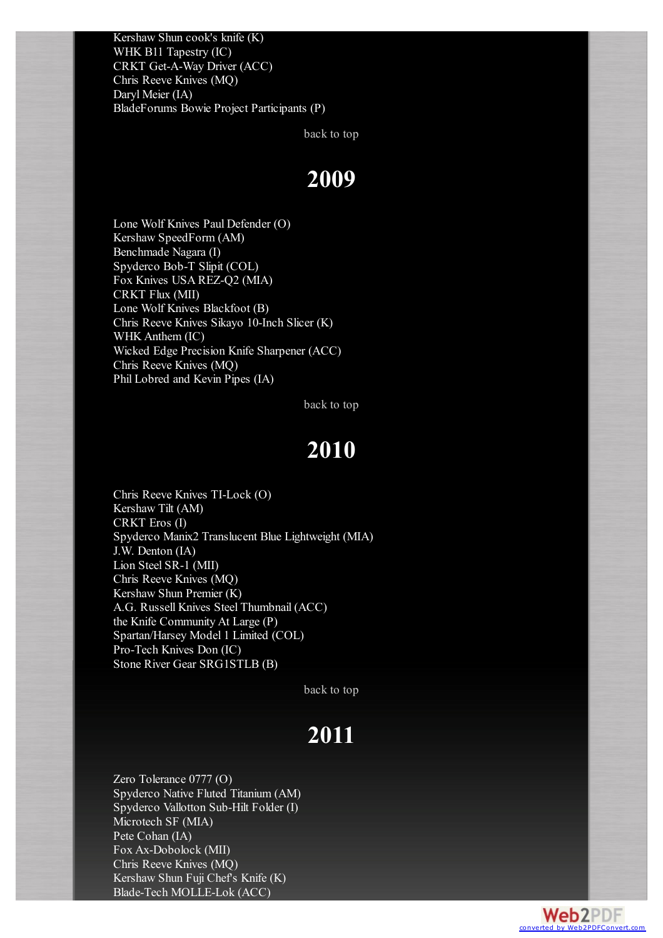Kershaw Shun cook's knife (K) WHK B11 Tapestry (IC) CRKT Get-A-Way Driver (ACC) Chris Reeve Knives (MQ) Daryl Meier (IA) BladeForums Bowie Project Participants (P)

[back](#page-0-2) to top

#### **2009**

<span id="page-8-0"></span>Lone Wolf Knives Paul Defender (O) Kershaw SpeedForm (AM) Benchmade Nagara (I) Spyderco Bob-T Slipit (COL) Fox Knives USA REZ-Q2 (MIA) CRKT Flux (MII) Lone Wolf Knives Blackfoot (B) Chris Reeve Knives Sikayo 10-Inch Slicer (K) WHK Anthem (IC) Wicked Edge Precision Knife Sharpener (ACC) Chris Reeve Knives (MQ) Phil Lobred and Kevin Pipes (IA)

[back](#page-0-2) to top

#### **2010**

<span id="page-8-1"></span>Chris Reeve Knives TI-Lock (O) Kershaw Tilt (AM) CRKT Eros (I) Spyderco Manix2 Translucent Blue Lightweight (MIA) J.W. Denton (IA) Lion Steel SR-1 (MII) Chris Reeve Knives (MQ) Kershaw Shun Premier (K) A.G. Russell Knives Steel Thumbnail (ACC) the Knife Community At Large (P) Spartan/Harsey Model 1 Limited (COL) Pro-Tech Knives Don (IC) Stone River Gear SRG1STLB (B)

[back](#page-0-2) to top

## **2011**

<span id="page-8-2"></span>Zero Tolerance 0777 (O) Spyderco Native Fluted Titanium (AM) Spyderco Vallotton Sub-Hilt Folder (I) Microtech SF (MIA) Pete Cohan (IA) Fox Ax-Dobolock (MII) Chris Reeve Knives (MQ) Kershaw Shun Fuji Chef's Knife (K) Blade-Tech MOLLE-Lok (ACC)